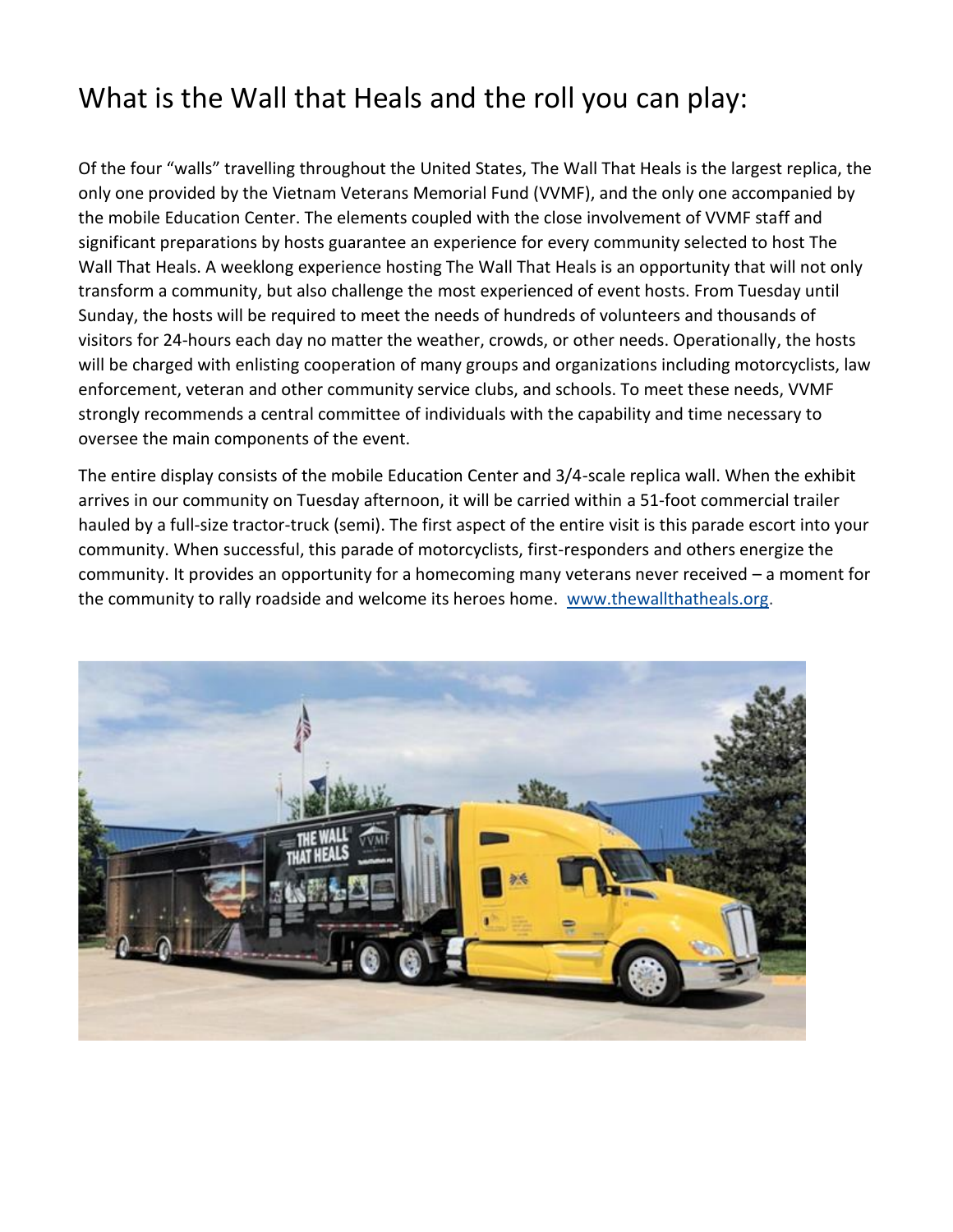## What is the Wall that Heals and the roll you can play:

Of the four "walls" travelling throughout the United States, The Wall That Heals is the largest replica, the only one provided by the Vietnam Veterans Memorial Fund (VVMF), and the only one accompanied by the mobile Education Center. The elements coupled with the close involvement of VVMF staff and significant preparations by hosts guarantee an experience for every community selected to host The Wall That Heals. A weeklong experience hosting The Wall That Heals is an opportunity that will not only transform a community, but also challenge the most experienced of event hosts. From Tuesday until Sunday, the hosts will be required to meet the needs of hundreds of volunteers and thousands of visitors for 24-hours each day no matter the weather, crowds, or other needs. Operationally, the hosts will be charged with enlisting cooperation of many groups and organizations including motorcyclists, law enforcement, veteran and other community service clubs, and schools. To meet these needs, VVMF strongly recommends a central committee of individuals with the capability and time necessary to oversee the main components of the event.

The entire display consists of the mobile Education Center and 3/4-scale replica wall. When the exhibit arrives in our community on Tuesday afternoon, it will be carried within a 51-foot commercial trailer hauled by a full-size tractor-truck (semi). The first aspect of the entire visit is this parade escort into your community. When successful, this parade of motorcyclists, first-responders and others energize the community. It provides an opportunity for a homecoming many veterans never received – a moment for the community to rally roadside and welcome its heroes home. [www.thewallthatheals.org.](http://www.thewallthatheals.org/)

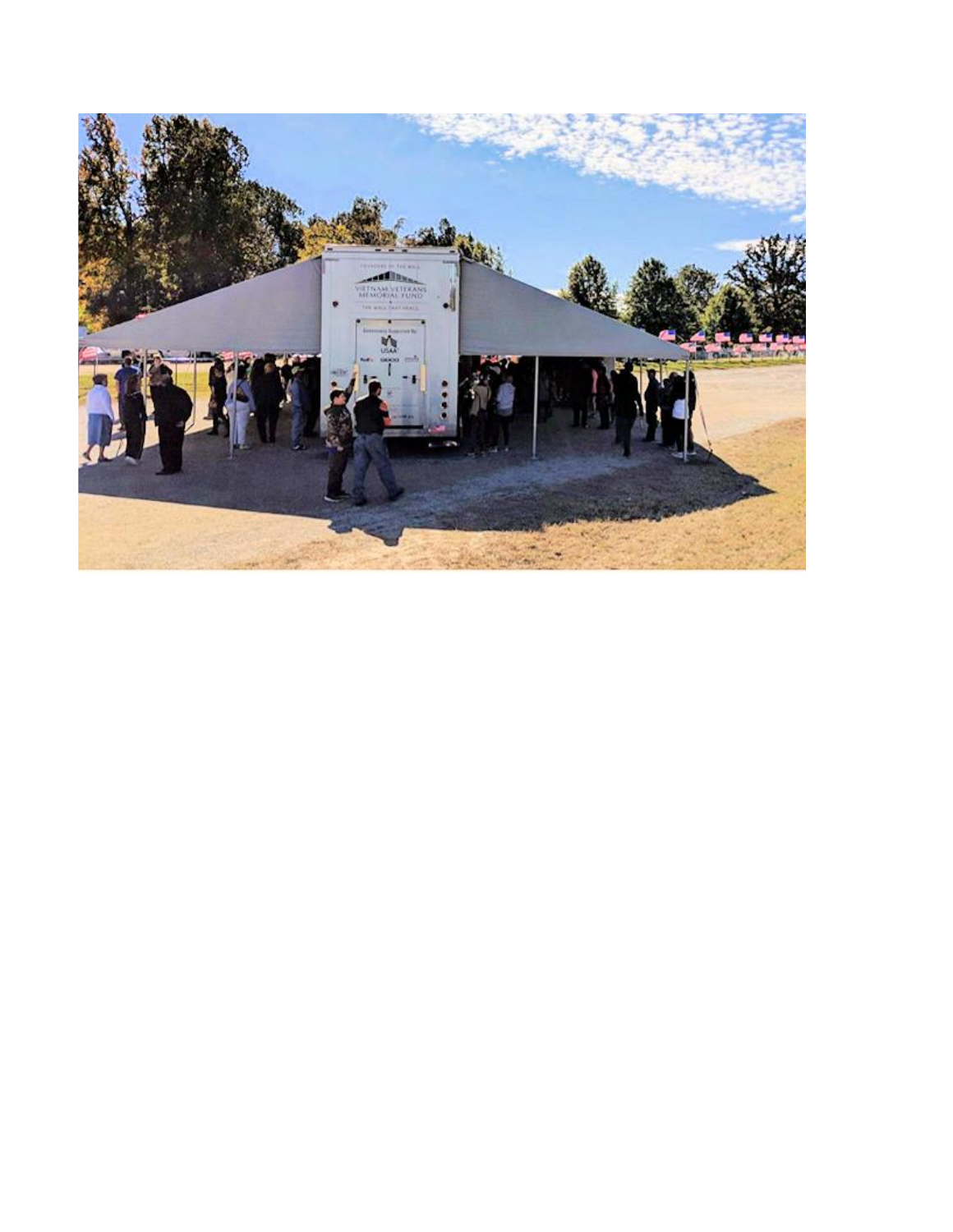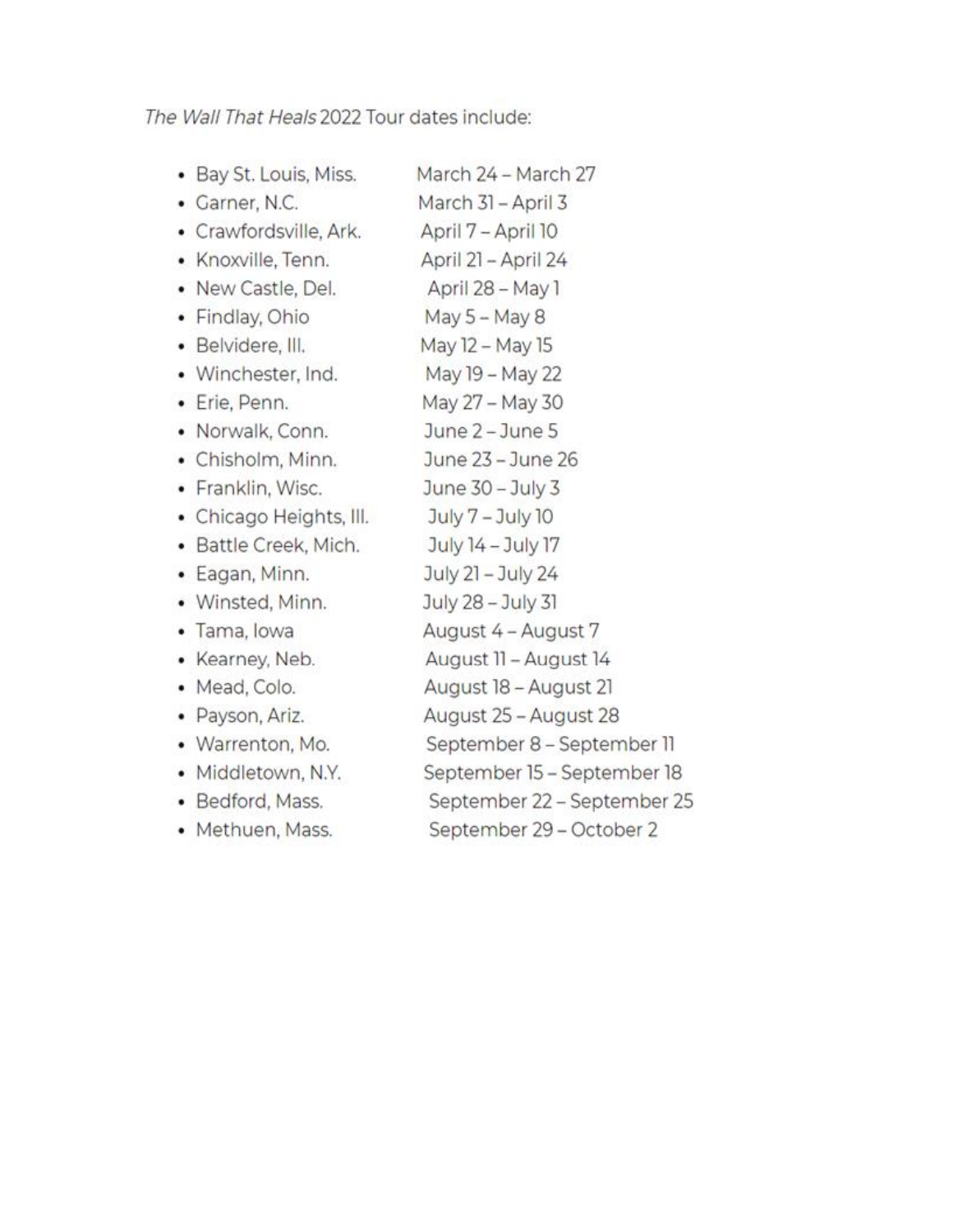The Wall That Heals 2022 Tour dates include:

| • Bay St. Louis, Miss.  | March 24 - March 27         |
|-------------------------|-----------------------------|
| • Garner, N.C.          | March 31 - April 3          |
| • Crawfordsville, Ark.  | April 7 - April 10          |
| • Knoxville, Tenn.      | April 21 - April 24         |
| • New Castle, Del.      | April 28 - May 1            |
| • Findlay, Ohio         | May 5 - May 8               |
| · Belvidere, III.       | May 12 - May 15             |
| • Winchester, Ind.      | May 19 - May 22             |
| · Erie, Penn.           | May 27 - May 30             |
| · Norwalk, Conn.        | June 2 - June 5             |
| • Chisholm, Minn.       | June 23 - June 26           |
| • Franklin, Wisc.       | June 30 - July 3            |
| • Chicago Heights, III. | July 7 - July 10            |
| • Battle Creek, Mich.   | July 14 - July 17           |
| · Eagan, Minn.          | July 21 - July 24           |
| • Winsted, Minn.        | July 28 - July 31           |
| · Tama, Iowa            | August 4 – August 7         |
| • Kearney, Neb.         | August 11 – August 14       |
| • Mead, Colo.           | August 18 - August 21       |
| · Payson, Ariz.         | August 25 - August 28       |
| • Warrenton, Mo.        | September 8 - September 11  |
| • Middletown, N.Y.      | September 15 - September 18 |
| • Bedford, Mass.        | September 22 - September 25 |
| • Methuen, Mass.        | September 29 - October 2    |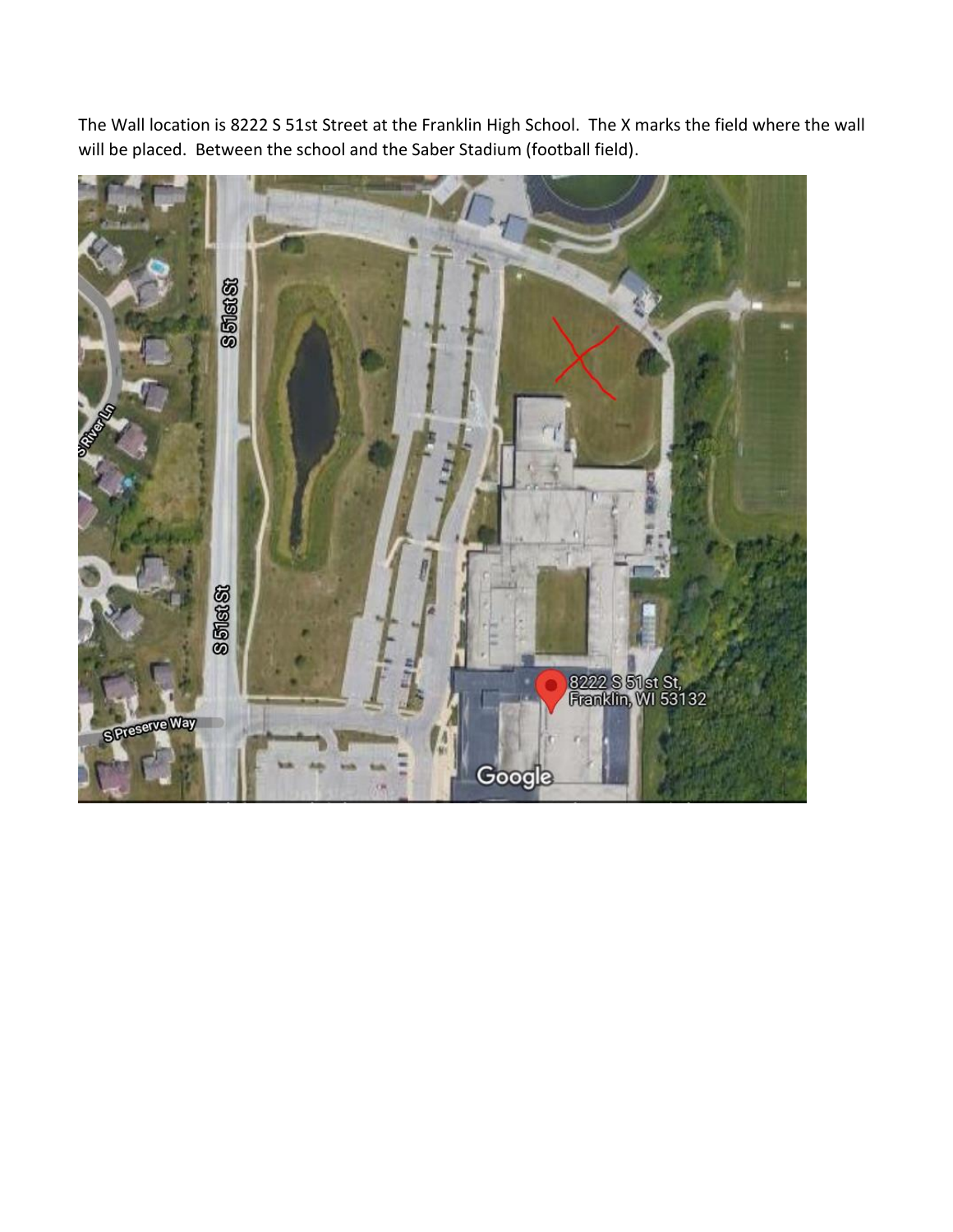The Wall location is 8222 S 51st Street at the Franklin High School. The X marks the field where the wall will be placed. Between the school and the Saber Stadium (football field).